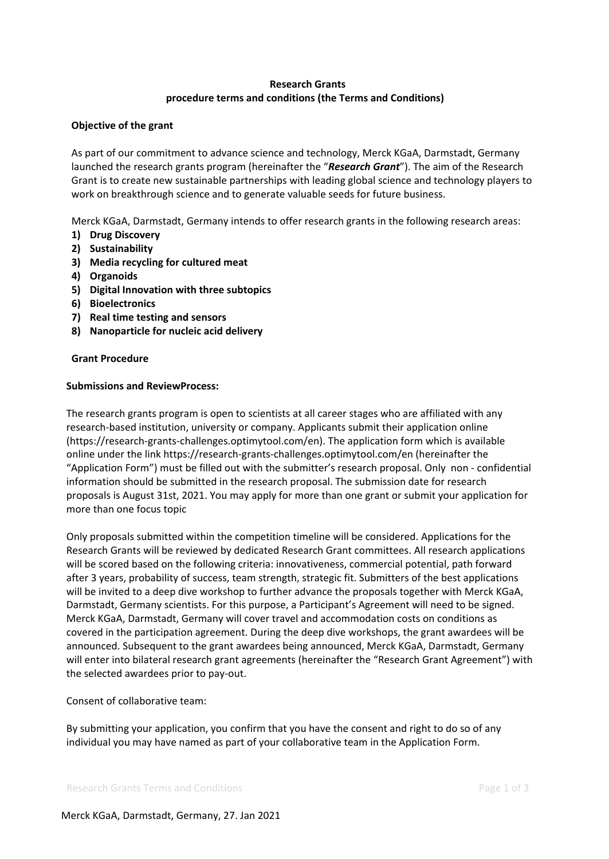# **Research Grants procedure terms and conditions (the Terms and Conditions)**

## **Objective of the grant**

As part of our commitment to advance science and technology, Merck KGaA, Darmstadt, Germany launched the research grants program (hereinafter the "*Research Grant*"). The aim of the Research Grant is to create new sustainable partnerships with leading global science and technology players to work on breakthrough science and to generate valuable seeds for future business.

Merck KGaA, Darmstadt, Germany intends to offer research grants in the following research areas:

- **1) Drug Discovery**
- **2) Sustainability**
- **3) Media recycling for cultured meat**
- **4) Organoids**
- **5) Digital Innovation with three subtopics**
- **6) Bioelectronics**
- **7) Real time testing and sensors**
- **8) Nanoparticle for nucleic acid delivery**

### **Grant Procedure**

### **Submissions and ReviewProcess:**

The research grants program is open to scientists at all career stages who are affiliated with any research-based institution, university or company. Applicants submit their application online [\(https://research-grants-challenges.optimytool.com/en\)](https://research-grants-challenges.optimytool.com/en). The application form which is available online under the link<https://research-grants-challenges.optimytool.com/en> (hereinafter the "Application Form") must be filled out with the submitter's research proposal. Only non - confidential information should be submitted in the research proposal. The submission date for research proposals is August 31st, 2021. You may apply for more than one grant or submit your application for more than one focus topic

Only proposals submitted within the competition timeline will be considered. Applications for the Research Grants will be reviewed by dedicated Research Grant committees. All research applications will be scored based on the following criteria: innovativeness, commercial potential, path forward after 3 years, probability of success, team strength, strategic fit. Submitters of the best applications will be invited to a deep dive workshop to further advance the proposals together with Merck KGaA, Darmstadt, Germany scientists. For this purpose, a Participant's Agreement will need to be signed. Merck KGaA, Darmstadt, Germany will cover travel and accommodation costs on conditions as covered in the participation agreement. During the deep dive workshops, the grant awardees will be announced. Subsequent to the grant awardees being announced, Merck KGaA, Darmstadt, Germany will enter into bilateral research grant agreements (hereinafter the "Research Grant Agreement") with the selected awardees prior to pay-out.

## Consent of collaborative team:

By submitting your application, you confirm that you have the consent and right to do so of any individual you may have named as part of your collaborative team in the Application Form.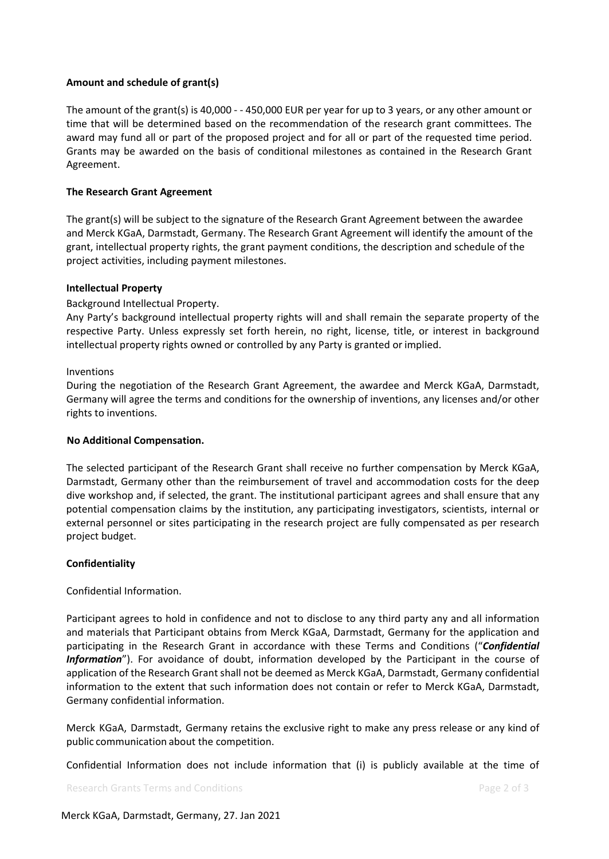## **Amount and schedule of grant(s)**

The amount of the grant(s) is 40,000 - - 450,000 EUR per year for up to 3 years, or any other amount or time that will be determined based on the recommendation of the research grant committees. The award may fund all or part of the proposed project and for all or part of the requested time period. Grants may be awarded on the basis of conditional milestones as contained in the Research Grant Agreement.

## **The Research Grant Agreement**

The grant(s) will be subject to the signature of the Research Grant Agreement between the awardee and Merck KGaA, Darmstadt, Germany. The Research Grant Agreement will identify the amount of the grant, intellectual property rights, the grant payment conditions, the description and schedule of the project activities, including payment milestones.

### **Intellectual Property**

### Background Intellectual Property.

Any Party's background intellectual property rights will and shall remain the separate property of the respective Party. Unless expressly set forth herein, no right, license, title, or interest in background intellectual property rights owned or controlled by any Party is granted or implied.

### Inventions

During the negotiation of the Research Grant Agreement, the awardee and Merck KGaA, Darmstadt, Germany will agree the terms and conditions for the ownership of inventions, any licenses and/or other rights to inventions.

### **No Additional Compensation.**

The selected participant of the Research Grant shall receive no further compensation by Merck KGaA, Darmstadt, Germany other than the reimbursement of travel and accommodation costs for the deep dive workshop and, if selected, the grant. The institutional participant agrees and shall ensure that any potential compensation claims by the institution, any participating investigators, scientists, internal or external personnel or sites participating in the research project are fully compensated as per research project budget.

### **Confidentiality**

### Confidential Information.

Participant agrees to hold in confidence and not to disclose to any third party any and all information and materials that Participant obtains from Merck KGaA, Darmstadt, Germany for the application and participating in the Research Grant in accordance with these Terms and Conditions ("*Confidential Information*"). For avoidance of doubt, information developed by the Participant in the course of application of the Research Grant shall not be deemed as Merck KGaA, Darmstadt, Germany confidential information to the extent that such information does not contain or refer to Merck KGaA, Darmstadt, Germany confidential information.

Merck KGaA, Darmstadt, Germany retains the exclusive right to make any press release or any kind of public communication about the competition.

Confidential Information does not include information that (i) is publicly available at the time of

Research Grants Terms and Conditions **Page 2** of 3